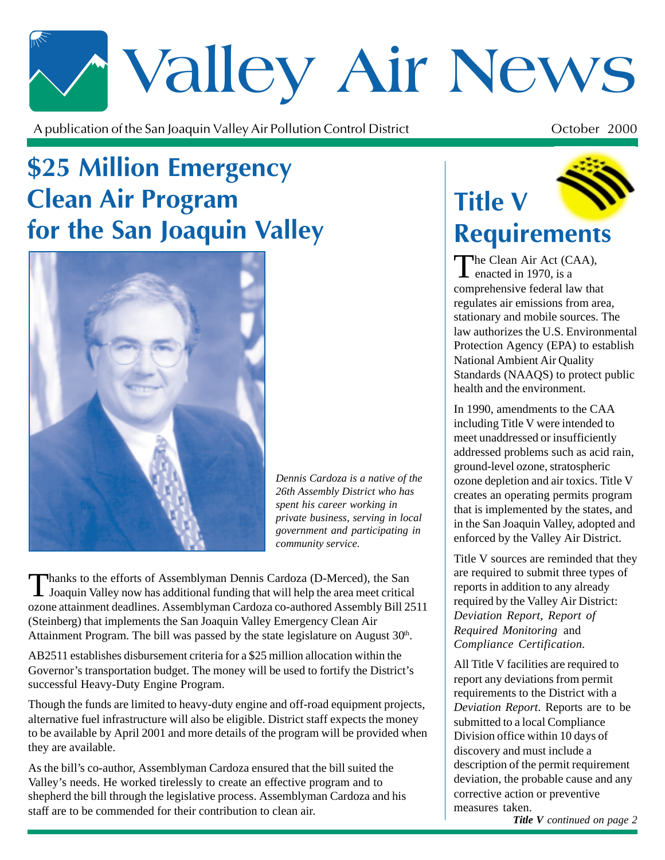# \* Valley Air News

A publication of the San Joaquin Valley Air Pollution Control District  $\mathbf t$  October 2000

### **\$25 Million Emergency Clean Air Program** for the San Joaquin Valley



*Dennis Cardoza is a native of the 26th Assembly District who has spent his career working in private business, serving in local government and participating in community service.*

Thanks to the efforts of Assemblyman Dennis Cardoza (D-Merced), the San<br>Joaquin Valley now has additional funding that will help the area meet critical ozone attainment deadlines. Assemblyman Cardoza co-authored Assembly Bill 2511 (Steinberg) that implements the San Joaquin Valley Emergency Clean Air Attainment Program. The bill was passed by the state legislature on August  $30<sup>th</sup>$ .

AB2511 establishes disbursement criteria for a \$25 million allocation within the Governor's transportation budget. The money will be used to fortify the District's successful Heavy-Duty Engine Program.

Though the funds are limited to heavy-duty engine and off-road equipment projects, alternative fuel infrastructure will also be eligible. District staff expects the money to be available by April 2001 and more details of the program will be provided when they are available.

As the bill's co-author, Assemblyman Cardoza ensured that the bill suited the Valley's needs. He worked tirelessly to create an effective program and to shepherd the bill through the legislative process. Assemblyman Cardoza and his staff are to be commended for their contribution to clean air.

# **Title V** Requirements

The Clean Air Act (CAA), enacted in 1970, is a comprehensive federal law that regulates air emissions from area, stationary and mobile sources. The law authorizes the U.S. Environmental Protection Agency (EPA) to establish National Ambient Air Quality Standards (NAAQS) to protect public health and the environment.

In 1990, amendments to the CAA including Title V were intended to meet unaddressed or insufficiently addressed problems such as acid rain, ground-level ozone, stratospheric ozone depletion and air toxics. Title V creates an operating permits program that is implemented by the states, and in the San Joaquin Valley, adopted and enforced by the Valley Air District.

Title V sources are reminded that they are required to submit three types of reports in addition to any already required by the Valley Air District: *Deviation Report, Report of Required Monitoring* and *Compliance Certification.*

All Title V facilities are required to report any deviations from permit requirements to the District with a *Deviation Report*. Reports are to be submitted to a local Compliance Division office within 10 days of discovery and must include a description of the permit requirement deviation, the probable cause and any corrective action or preventive measures taken.

*Title V continued on page 2*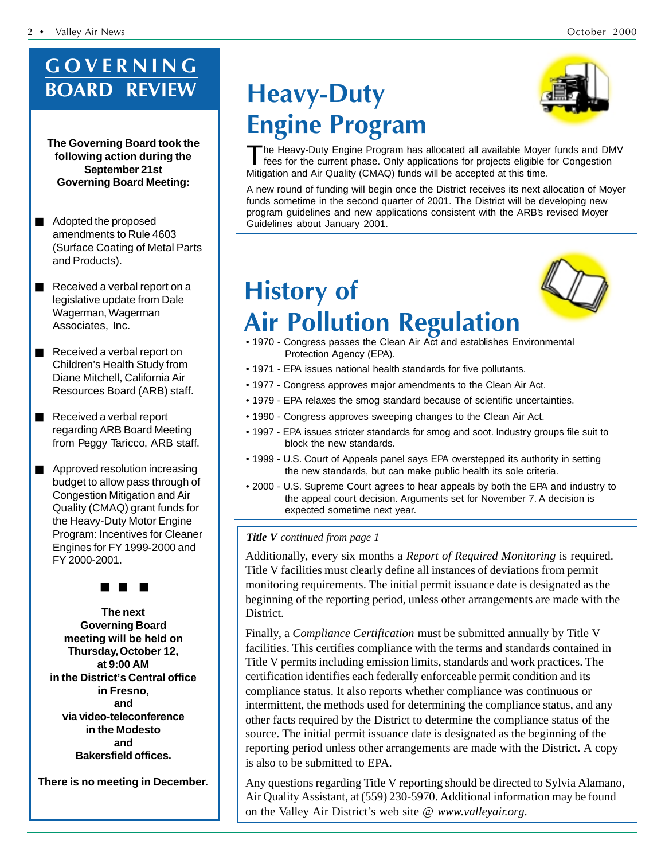#### GOVERNING **BOARD REVIEW**

**The Governing Board took the following action during the September 21st Governing Board Meeting:**

- Adopted the proposed amendments to Rule 4603 (Surface Coating of Metal Parts and Products).
- Received a verbal report on a legislative update from Dale Wagerman, Wagerman Associates, Inc.
- Received a verbal report on Children's Health Study from Diane Mitchell, California Air Resources Board (ARB) staff.
- Received a verbal report regarding ARB Board Meeting from Peggy Taricco, ARB staff.
- Approved resolution increasing budget to allow pass through of Congestion Mitigation and Air Quality (CMAQ) grant funds for the Heavy-Duty Motor Engine Program: Incentives for Cleaner Engines for FY 1999-2000 and FY 2000-2001.



**The next Governing Board meeting will be held on Thursday, October 12, at 9:00 AM in the District's Central office in Fresno, and via video-teleconference in the Modesto and Bakersfield offices.**

**There is no meeting in December.**

### Heavy-Duty **Engine Program**



The Heavy-Duty Engine Program has allocated all available Moyer funds and DMV fees for the current phase. Only applications for projects eligible for Congestion Mitigation and Air Quality (CMAQ) funds will be accepted at this time.

A new round of funding will begin once the District receives its next allocation of Moyer funds sometime in the second quarter of 2001. The District will be developing new program guidelines and new applications consistent with the ARB's revised Moyer Guidelines about January 2001.

## History of **Air Pollution Regulation**



- 1970 Congress passes the Clean Air Act and establishes Environmental Protection Agency (EPA).
- 1971 EPA issues national health standards for five pollutants.
- 1977 Congress approves major amendments to the Clean Air Act.
- 1979 EPA relaxes the smog standard because of scientific uncertainties.
- 1990 Congress approves sweeping changes to the Clean Air Act.
- 1997 EPA issues stricter standards for smog and soot. Industry groups file suit to block the new standards.
- 1999 U.S. Court of Appeals panel says EPA overstepped its authority in setting the new standards, but can make public health its sole criteria.
- 2000 U.S. Supreme Court agrees to hear appeals by both the EPA and industry to the appeal court decision. Arguments set for November 7. A decision is expected sometime next year.

#### *Title V continued from page 1*

Additionally, every six months a *Report of Required Monitoring* is required. Title V facilities must clearly define all instances of deviations from permit monitoring requirements. The initial permit issuance date is designated as the beginning of the reporting period, unless other arrangements are made with the District.

Finally, a *Compliance Certification* must be submitted annually by Title V facilities. This certifies compliance with the terms and standards contained in Title V permits including emission limits, standards and work practices. The certification identifies each federally enforceable permit condition and its compliance status. It also reports whether compliance was continuous or intermittent, the methods used for determining the compliance status, and any other facts required by the District to determine the compliance status of the source. The initial permit issuance date is designated as the beginning of the reporting period unless other arrangements are made with the District. A copy is also to be submitted to EPA.

Any questions regarding Title V reporting should be directed to Sylvia Alamano, Air Quality Assistant, at (559) 230-5970. Additional information may be found on the Valley Air District's web site @ *www.valleyair.org.*